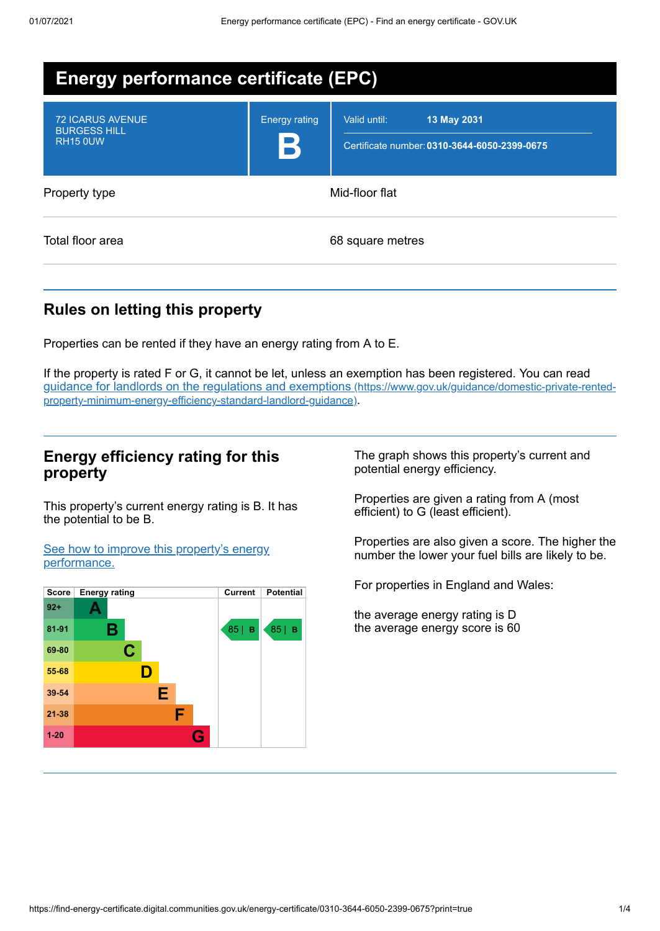| Energy performance certificate (EPC)                              |                           |                                                                             |  |  |
|-------------------------------------------------------------------|---------------------------|-----------------------------------------------------------------------------|--|--|
| <b>72 ICARUS AVENUE</b><br><b>BURGESS HILL</b><br><b>RH15 0UW</b> | <b>Energy rating</b><br>B | Valid until:<br>13 May 2031<br>Certificate number: 0310-3644-6050-2399-0675 |  |  |
| Property type                                                     | Mid-floor flat            |                                                                             |  |  |
| Total floor area                                                  |                           | 68 square metres                                                            |  |  |

# **Rules on letting this property**

Properties can be rented if they have an energy rating from A to E.

If the property is rated F or G, it cannot be let, unless an exemption has been registered. You can read guidance for landlords on the regulations and exemptions (https://www.gov.uk/guidance/domestic-private-rented[property-minimum-energy-efficiency-standard-landlord-guidance\)](https://www.gov.uk/guidance/domestic-private-rented-property-minimum-energy-efficiency-standard-landlord-guidance).

### **Energy efficiency rating for this property**

This property's current energy rating is B. It has the potential to be B.

See how to improve this property's energy [performance.](#page-2-0)



The graph shows this property's current and potential energy efficiency.

Properties are given a rating from A (most efficient) to G (least efficient).

Properties are also given a score. The higher the number the lower your fuel bills are likely to be.

For properties in England and Wales:

the average energy rating is D the average energy score is 60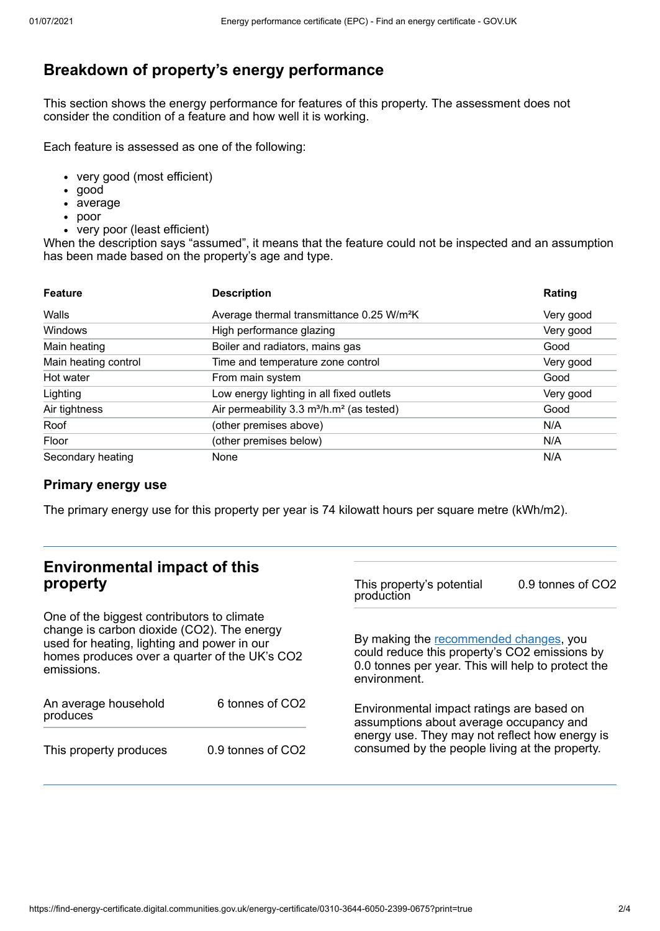# **Breakdown of property's energy performance**

This section shows the energy performance for features of this property. The assessment does not consider the condition of a feature and how well it is working.

Each feature is assessed as one of the following:

- very good (most efficient)
- good
- average
- poor
- very poor (least efficient)

When the description says "assumed", it means that the feature could not be inspected and an assumption has been made based on the property's age and type.

| <b>Feature</b>       | <b>Description</b>                                                | Rating    |
|----------------------|-------------------------------------------------------------------|-----------|
| Walls                | Average thermal transmittance 0.25 W/m <sup>2</sup> K             | Very good |
| Windows              | High performance glazing                                          | Very good |
| Main heating         | Boiler and radiators, mains gas                                   | Good      |
| Main heating control | Time and temperature zone control                                 | Very good |
| Hot water            | From main system                                                  | Good      |
| Lighting             | Low energy lighting in all fixed outlets                          | Very good |
| Air tightness        | Air permeability 3.3 m <sup>3</sup> /h.m <sup>2</sup> (as tested) | Good      |
| Roof                 | (other premises above)                                            | N/A       |
| Floor                | (other premises below)                                            | N/A       |
| Secondary heating    | None                                                              | N/A       |

#### **Primary energy use**

The primary energy use for this property per year is 74 kilowatt hours per square metre (kWh/m2).

#### **Environmental impact of this property** One of the biggest contributors to climate change is carbon dioxide (CO2). The energy used for heating, lighting and power in our homes produces over a quarter of the UK's CO2 emissions. An average household produces 6 tonnes of CO2 This property produces 0.9 tonnes of CO2 This property's potential production 0.9 tonnes of CO2 By making the [recommended](#page-2-0) changes, you could reduce this property's CO2 emissions by 0.0 tonnes per year. This will help to protect the environment. Environmental impact ratings are based on assumptions about average occupancy and energy use. They may not reflect how energy is consumed by the people living at the property.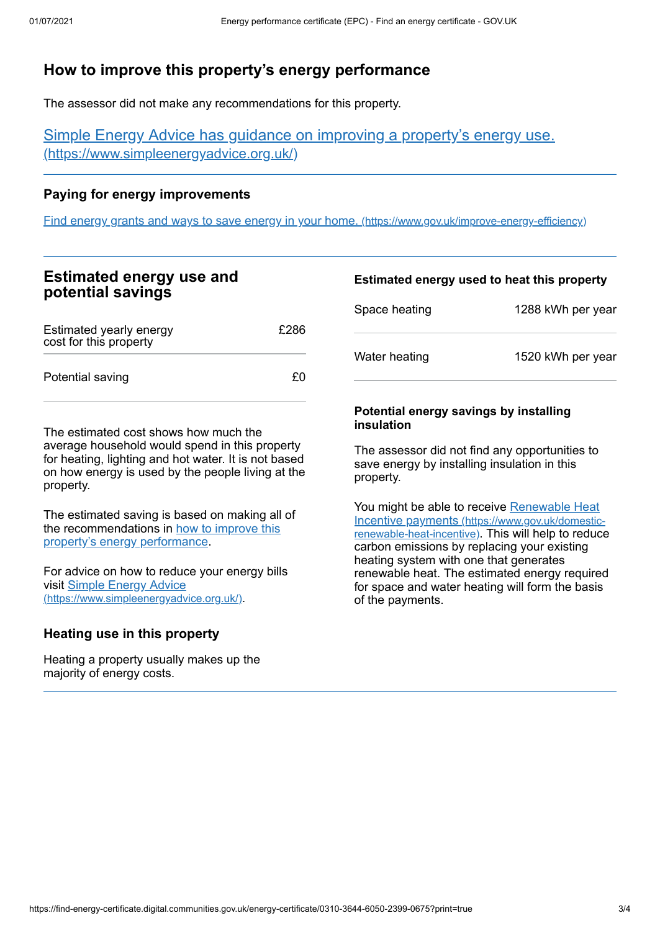# <span id="page-2-0"></span>**How to improve this property's energy performance**

The assessor did not make any recommendations for this property.

Simple Energy Advice has guidance on improving a property's energy use. [\(https://www.simpleenergyadvice.org.uk/\)](https://www.simpleenergyadvice.org.uk/)

#### **Paying for energy improvements**

Find energy grants and ways to save energy in your home. [\(https://www.gov.uk/improve-energy-efficiency\)](https://www.gov.uk/improve-energy-efficiency)

## **Estimated energy use and potential savings**

| Estimated yearly energy<br>cost for this property | £286 |
|---------------------------------------------------|------|
| Potential saving                                  | £0.  |

The estimated cost shows how much the average household would spend in this property for heating, lighting and hot water. It is not based on how energy is used by the people living at the property.

The estimated saving is based on making all of the [recommendations](#page-2-0) in how to improve this property's energy performance.

For advice on how to reduce your energy bills visit Simple Energy Advice [\(https://www.simpleenergyadvice.org.uk/\)](https://www.simpleenergyadvice.org.uk/).

#### **Heating use in this property**

Heating a property usually makes up the majority of energy costs.

# **Estimated energy used to heat this property** Space heating 1288 kWh per year Water heating 1520 kWh per year

#### **Potential energy savings by installing insulation**

The assessor did not find any opportunities to save energy by installing insulation in this property.

You might be able to receive Renewable Heat Incentive payments [\(https://www.gov.uk/domestic](https://www.gov.uk/domestic-renewable-heat-incentive)renewable-heat-incentive). This will help to reduce carbon emissions by replacing your existing heating system with one that generates renewable heat. The estimated energy required for space and water heating will form the basis of the payments.